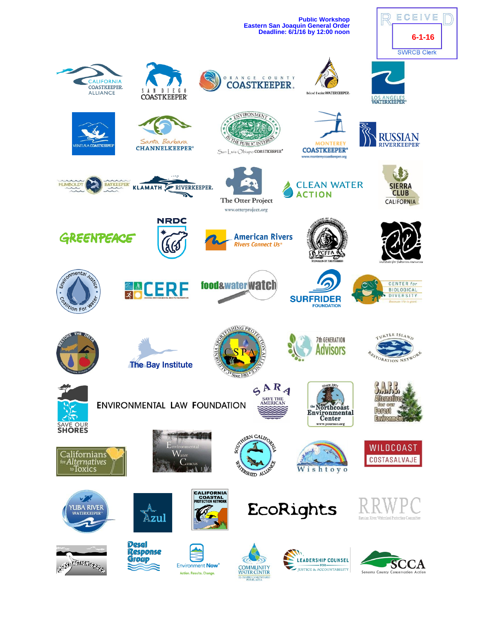**Public Workshop Eastern San Joaquin General Order**



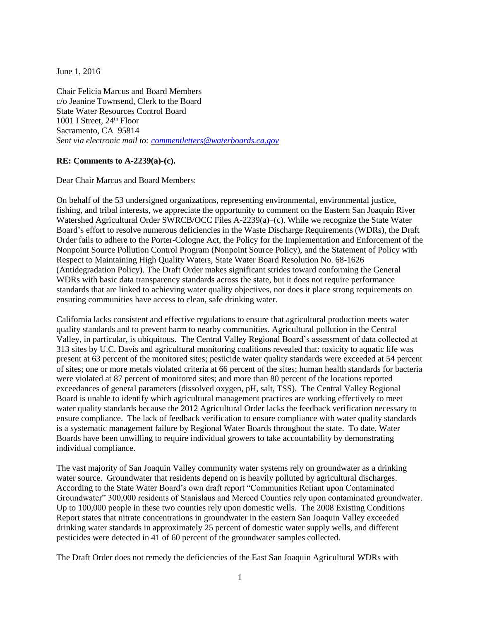June 1, 2016

Chair Felicia Marcus and Board Members c/o Jeanine Townsend, Clerk to the Board State Water Resources Control Board 1001 I Street, 24<sup>th</sup> Floor Sacramento, CA 95814 *Sent via electronic mail to: [commentletters@waterboards.ca.gov](mailto:commentletters@waterboards.ca.gov)*

## **RE: Comments to A-2239(a)-(c).**

Dear Chair Marcus and Board Members:

On behalf of the 53 undersigned organizations, representing environmental, environmental justice, fishing, and tribal interests, we appreciate the opportunity to comment on the Eastern San Joaquin River Watershed Agricultural Order SWRCB/OCC Files A-2239(a)–(c). While we recognize the State Water Board's effort to resolve numerous deficiencies in the Waste Discharge Requirements (WDRs), the Draft Order fails to adhere to the Porter-Cologne Act, the Policy for the Implementation and Enforcement of the Nonpoint Source Pollution Control Program (Nonpoint Source Policy), and the Statement of Policy with Respect to Maintaining High Quality Waters, State Water Board Resolution No. 68-1626 (Antidegradation Policy). The Draft Order makes significant strides toward conforming the General WDRs with basic data transparency standards across the state, but it does not require performance standards that are linked to achieving water quality objectives, nor does it place strong requirements on ensuring communities have access to clean, safe drinking water.

California lacks consistent and effective regulations to ensure that agricultural production meets water quality standards and to prevent harm to nearby communities. Agricultural pollution in the Central Valley, in particular, is ubiquitous. The Central Valley Regional Board's assessment of data collected at 313 sites by U.C. Davis and agricultural monitoring coalitions revealed that: toxicity to aquatic life was present at 63 percent of the monitored sites; pesticide water quality standards were exceeded at 54 percent of sites; one or more metals violated criteria at 66 percent of the sites; human health standards for bacteria were violated at 87 percent of monitored sites; and more than 80 percent of the locations reported exceedances of general parameters (dissolved oxygen, pH, salt, TSS). The Central Valley Regional Board is unable to identify which agricultural management practices are working effectively to meet water quality standards because the 2012 Agricultural Order lacks the feedback verification necessary to ensure compliance. The lack of feedback verification to ensure compliance with water quality standards is a systematic management failure by Regional Water Boards throughout the state. To date, Water Boards have been unwilling to require individual growers to take accountability by demonstrating individual compliance.

The vast majority of San Joaquin Valley community water systems rely on groundwater as a drinking water source. Groundwater that residents depend on is heavily polluted by agricultural discharges. According to the State Water Board's own draft report "Communities Reliant upon Contaminated Groundwater" 300,000 residents of Stanislaus and Merced Counties rely upon contaminated groundwater. Up to 100,000 people in these two counties rely upon domestic wells. The 2008 Existing Conditions Report states that nitrate concentrations in groundwater in the eastern San Joaquin Valley exceeded drinking water standards in approximately 25 percent of domestic water supply wells, and different pesticides were detected in 41 of 60 percent of the groundwater samples collected.

The Draft Order does not remedy the deficiencies of the East San Joaquin Agricultural WDRs with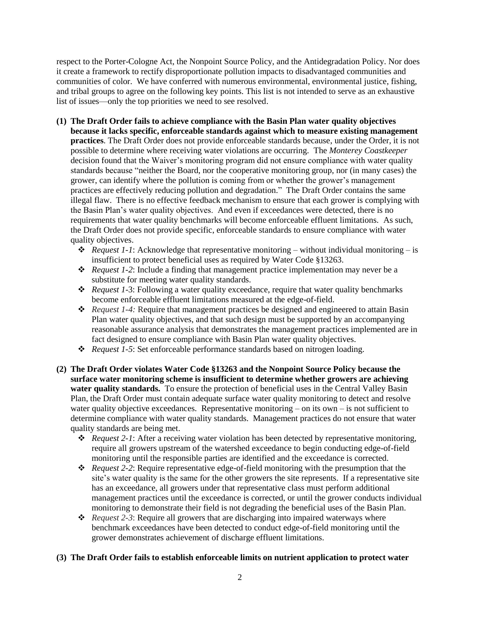respect to the Porter-Cologne Act, the Nonpoint Source Policy, and the Antidegradation Policy. Nor does it create a framework to rectify disproportionate pollution impacts to disadvantaged communities and communities of color. We have conferred with numerous environmental, environmental justice, fishing, and tribal groups to agree on the following key points. This list is not intended to serve as an exhaustive list of issues—only the top priorities we need to see resolved.

- **(1) The Draft Order fails to achieve compliance with the Basin Plan water quality objectives because it lacks specific, enforceable standards against which to measure existing management practices**. The Draft Order does not provide enforceable standards because, under the Order, it is not possible to determine where receiving water violations are occurring. The *Monterey Coastkeeper* decision found that the Waiver's monitoring program did not ensure compliance with water quality standards because "neither the Board, nor the cooperative monitoring group, nor (in many cases) the grower, can identify where the pollution is coming from or whether the grower's management practices are effectively reducing pollution and degradation." The Draft Order contains the same illegal flaw. There is no effective feedback mechanism to ensure that each grower is complying with the Basin Plan's water quality objectives. And even if exceedances were detected, there is no requirements that water quality benchmarks will become enforceable effluent limitations. As such, the Draft Order does not provide specific, enforceable standards to ensure compliance with water quality objectives.
	- *Request 1-1*: Acknowledge that representative monitoring without individual monitoring is insufficient to protect beneficial uses as required by Water Code §13263.
	- *Request 1-2*: Include a finding that management practice implementation may never be a substitute for meeting water quality standards.
	- *Request 1*-3: Following a water quality exceedance, require that water quality benchmarks become enforceable effluent limitations measured at the edge-of-field.
	- *Request 1-4:* Require that management practices be designed and engineered to attain Basin Plan water quality objectives, and that such design must be supported by an accompanying reasonable assurance analysis that demonstrates the management practices implemented are in fact designed to ensure compliance with Basin Plan water quality objectives.
	- *Request 1-5*: Set enforceable performance standards based on nitrogen loading.
- **(2) The Draft Order violates Water Code §13263 and the Nonpoint Source Policy because the surface water monitoring scheme is insufficient to determine whether growers are achieving water quality standards.** To ensure the protection of beneficial uses in the Central Valley Basin Plan, the Draft Order must contain adequate surface water quality monitoring to detect and resolve water quality objective exceedances. Representative monitoring  $-$  on its own  $-$  is not sufficient to determine compliance with water quality standards. Management practices do not ensure that water quality standards are being met.
	- *Request 2-1*: After a receiving water violation has been detected by representative monitoring, require all growers upstream of the watershed exceedance to begin conducting edge-of-field monitoring until the responsible parties are identified and the exceedance is corrected.
	- *Request 2-2*: Require representative edge-of-field monitoring with the presumption that the site's water quality is the same for the other growers the site represents. If a representative site has an exceedance, all growers under that representative class must perform additional management practices until the exceedance is corrected, or until the grower conducts individual monitoring to demonstrate their field is not degrading the beneficial uses of the Basin Plan.
	- *Request 2-3*: Require all growers that are discharging into impaired waterways where benchmark exceedances have been detected to conduct edge-of-field monitoring until the grower demonstrates achievement of discharge effluent limitations.

## **(3) The Draft Order fails to establish enforceable limits on nutrient application to protect water**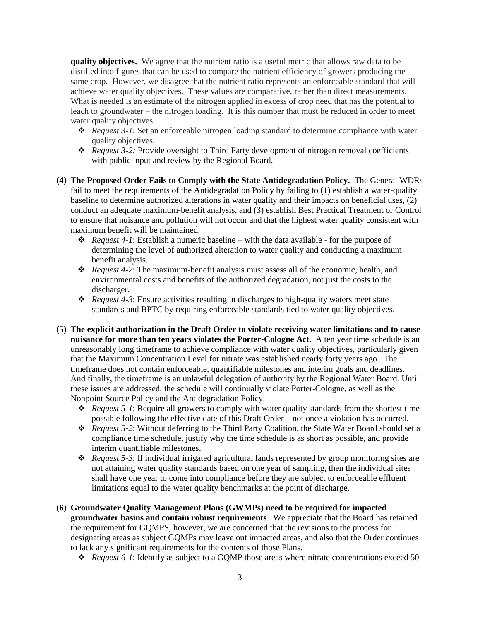**quality objectives.** We agree that the nutrient ratio is a useful metric that allows raw data to be distilled into figures that can be used to compare the nutrient efficiency of growers producing the same crop. However, we disagree that the nutrient ratio represents an enforceable standard that will achieve water quality objectives. These values are comparative, rather than direct measurements. What is needed is an estimate of the nitrogen applied in excess of crop need that has the potential to leach to groundwater – the nitrogen loading. It is this number that must be reduced in order to meet water quality objectives.

- *Request 3-1*: Set an enforceable nitrogen loading standard to determine compliance with water quality objectives.
- *Request 3-2:* Provide oversight to Third Party development of nitrogen removal coefficients with public input and review by the Regional Board.
- **(4) The Proposed Order Fails to Comply with the State Antidegradation Policy.** The General WDRs fail to meet the requirements of the Antidegradation Policy by failing to (1) establish a water-quality baseline to determine authorized alterations in water quality and their impacts on beneficial uses, (2) conduct an adequate maximum-benefit analysis, and (3) establish Best Practical Treatment or Control to ensure that nuisance and pollution will not occur and that the highest water quality consistent with maximum benefit will be maintained.
	- *Request 4-1*: Establish a numeric baseline with the data available for the purpose of determining the level of authorized alteration to water quality and conducting a maximum benefit analysis.
	- *Request 4-2*: The maximum-benefit analysis must assess all of the economic, health, and environmental costs and benefits of the authorized degradation, not just the costs to the discharger.
	- *Request 4-3*: Ensure activities resulting in discharges to high-quality waters meet state standards and BPTC by requiring enforceable standards tied to water quality objectives.
- **(5) The explicit authorization in the Draft Order to violate receiving water limitations and to cause nuisance for more than ten years violates the Porter-Cologne Act**. A ten year time schedule is an unreasonably long timeframe to achieve compliance with water quality objectives, particularly given that the Maximum Concentration Level for nitrate was established nearly forty years ago. The timeframe does not contain enforceable, quantifiable milestones and interim goals and deadlines. And finally, the timeframe is an unlawful delegation of authority by the Regional Water Board. Until these issues are addressed, the schedule will continually violate Porter-Cologne, as well as the Nonpoint Source Policy and the Antidegradation Policy.
	- $\triangle$  *Request 5-1*: Require all growers to comply with water quality standards from the shortest time possible following the effective date of this Draft Order – not once a violation has occurred.
	- *Request 5-2*: Without deferring to the Third Party Coalition, the State Water Board should set a compliance time schedule, justify why the time schedule is as short as possible, and provide interim quantifiable milestones.
	- *Request 5-3*: If individual irrigated agricultural lands represented by group monitoring sites are not attaining water quality standards based on one year of sampling, then the individual sites shall have one year to come into compliance before they are subject to enforceable effluent limitations equal to the water quality benchmarks at the point of discharge.
- **(6) Groundwater Quality Management Plans (GWMPs) need to be required for impacted groundwater basins and contain robust requirements**. We appreciate that the Board has retained the requirement for GQMPS; however, we are concerned that the revisions to the process for designating areas as subject GQMPs may leave out impacted areas, and also that the Order continues to lack any significant requirements for the contents of those Plans.
	- *Request 6-1*: Identify as subject to a GQMP those areas where nitrate concentrations exceed 50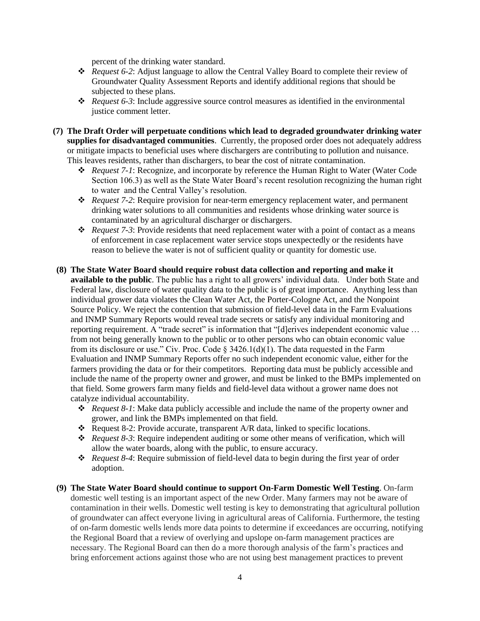percent of the drinking water standard.

- *Request 6-2*: Adjust language to allow the Central Valley Board to complete their review of Groundwater Quality Assessment Reports and identify additional regions that should be subjected to these plans.
- *Request 6-3*: Include aggressive source control measures as identified in the environmental justice comment letter.
- **(7) The Draft Order will perpetuate conditions which lead to degraded groundwater drinking water supplies for disadvantaged communities**. Currently, the proposed order does not adequately address or mitigate impacts to beneficial uses where dischargers are contributing to pollution and nuisance. This leaves residents, rather than dischargers, to bear the cost of nitrate contamination.
	- *Request 7-1*: Recognize, and incorporate by reference the Human Right to Water (Water Code Section 106.3) as well as the State Water Board's recent resolution recognizing the human right to water and the Central Valley's resolution.
	- *Request 7-2*: Require provision for near-term emergency replacement water, and permanent drinking water solutions to all communities and residents whose drinking water source is contaminated by an agricultural discharger or dischargers.
	- *Request 7-3*: Provide residents that need replacement water with a point of contact as a means of enforcement in case replacement water service stops unexpectedly or the residents have reason to believe the water is not of sufficient quality or quantity for domestic use.
- **(8) The State Water Board should require robust data collection and reporting and make it available to the public**. The public has a right to all growers' individual data. Under both State and Federal law, disclosure of water quality data to the public is of great importance. Anything less than individual grower data violates the Clean Water Act, the Porter-Cologne Act, and the Nonpoint Source Policy. We reject the contention that submission of field-level data in the Farm Evaluations and INMP Summary Reports would reveal trade secrets or satisfy any individual monitoring and reporting requirement. A "trade secret" is information that "[d]erives independent economic value … from not being generally known to the public or to other persons who can obtain economic value from its disclosure or use." Civ. Proc. Code  $\S$  3426.1(d)(1). The data requested in the Farm Evaluation and INMP Summary Reports offer no such independent economic value, either for the farmers providing the data or for their competitors. Reporting data must be publicly accessible and include the name of the property owner and grower, and must be linked to the BMPs implemented on that field. Some growers farm many fields and field-level data without a grower name does not catalyze individual accountability.
	- *Request 8-1*: Make data publicly accessible and include the name of the property owner and grower, and link the BMPs implemented on that field.
	- \* Request 8-2: Provide accurate, transparent A/R data, linked to specific locations.
	- *Request 8-3*: Require independent auditing or some other means of verification, which will allow the water boards, along with the public, to ensure accuracy.
	- *❖ Request 8-4:* Require submission of field-level data to begin during the first year of order adoption.
- **(9) The State Water Board should continue to support On-Farm Domestic Well Testing**. On-farm domestic well testing is an important aspect of the new Order. Many farmers may not be aware of contamination in their wells. Domestic well testing is key to demonstrating that agricultural pollution of groundwater can affect everyone living in agricultural areas of California. Furthermore, the testing of on-farm domestic wells lends more data points to determine if exceedances are occurring, notifying the Regional Board that a review of overlying and upslope on-farm management practices are necessary. The Regional Board can then do a more thorough analysis of the farm's practices and bring enforcement actions against those who are not using best management practices to prevent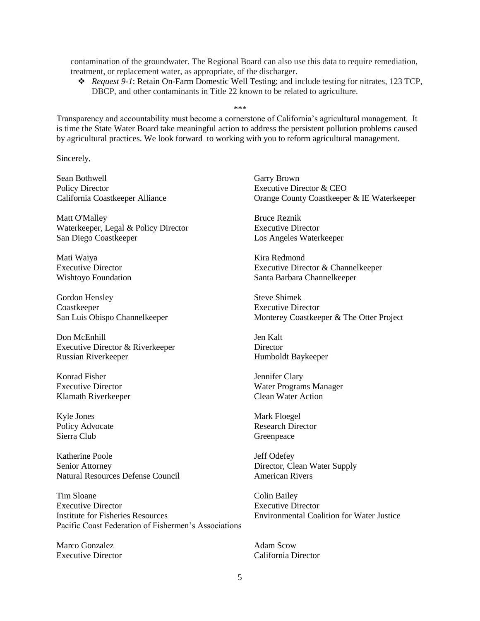contamination of the groundwater. The Regional Board can also use this data to require remediation, treatment, or replacement water, as appropriate, of the discharger.

 *Request 9-1*: Retain On-Farm Domestic Well Testing; and include testing for nitrates, 123 TCP, DBCP, and other contaminants in Title 22 known to be related to agriculture.

\*\*\*

Transparency and accountability must become a cornerstone of California's agricultural management. It is time the State Water Board take meaningful action to address the persistent pollution problems caused by agricultural practices. We look forward to working with you to reform agricultural management.

Sincerely,

Sean Bothwell Garry Brown Policy Director **Executive Director & CEO** 

Matt O'Malley Bruce Reznik Waterkeeper, Legal & Policy Director Executive Director San Diego Coastkeeper Los Angeles Waterkeeper

Mati Waiya **Kira Redmond** 

Gordon Hensley Steve Shimek Coastkeeper Executive Director

Don McEnhill Jen Kalt Executive Director & Riverkeeper Director Russian Riverkeeper Humboldt Baykeeper

Konrad Fisher Jennifer Clary Klamath Riverkeeper Clean Water Action

Kyle Jones Mark Floegel Sierra Club Greenpeace

Katherine Poole Jeff Odefey Senior Attorney Director, Clean Water Supply Natural Resources Defense Council **American Rivers** 

Tim Sloane Colin Bailey Executive Director Executive Director Institute for Fisheries Resources Environmental Coalition for Water Justice Pacific Coast Federation of Fishermen's Associations

Marco Gonzalez Adam Scow

California Coastkeeper Alliance Orange County Coastkeeper & IE Waterkeeper

Executive Director Executive Director & Channelkeeper Wishtoyo Foundation Santa Barbara Channelkeeper

San Luis Obispo Channelkeeper Monterey Coastkeeper & The Otter Project

Executive Director Water Programs Manager

Policy Advocate Research Director

Executive Director California Director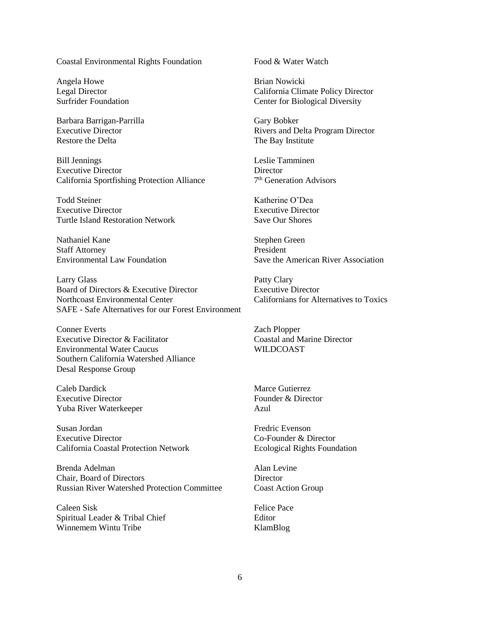## Coastal Environmental Rights Foundation Food & Water Watch

Angela Howe Brian Nowicki

Barbara Barrigan-Parrilla Gary Bobker Restore the Delta The Bay Institute

Bill Jennings Leslie Tamminen Executive Director Director California Sportfishing Protection Alliance 7

Todd Steiner Katherine O'Dea Executive Director Executive Director Turtle Island Restoration Network Save Our Shores

Nathaniel Kane Stephen Green Staff Attorney President

Larry Glass<br>
Board of Directors & Executive Director<br>
Executive Pirector<br>
Executive Director Board of Directors & Executive Director Northcoast Environmental Center Californians for Alternatives to Toxics SAFE - Safe Alternatives for our Forest Environment

Conner Everts Zach Plopper Executive Director & Facilitator Coastal and Marine Director Environmental Water Caucus WILDCOAST Southern California Watershed Alliance Desal Response Group

Caleb Dardick Marce Gutierrez Executive Director Founder & Director Yuba River Waterkeeper Azul

Susan Jordan Fredric Evenson Executive Director Co-Founder & Director California Coastal Protection Network Ecological Rights Foundation

Brenda Adelman Alan Levine Chair, Board of Directors Director Russian River Watershed Protection Committee Coast Action Group

Caleen Sisk Felice Pace Spiritual Leader & Tribal Chief Editor Winnemem Wintu Tribe KlamBlog

Legal Director California Climate Policy Director Surfrider Foundation Center for Biological Diversity

Executive Director Rivers and Delta Program Director

7<sup>th</sup> Generation Advisors

Environmental Law Foundation Save the American River Association